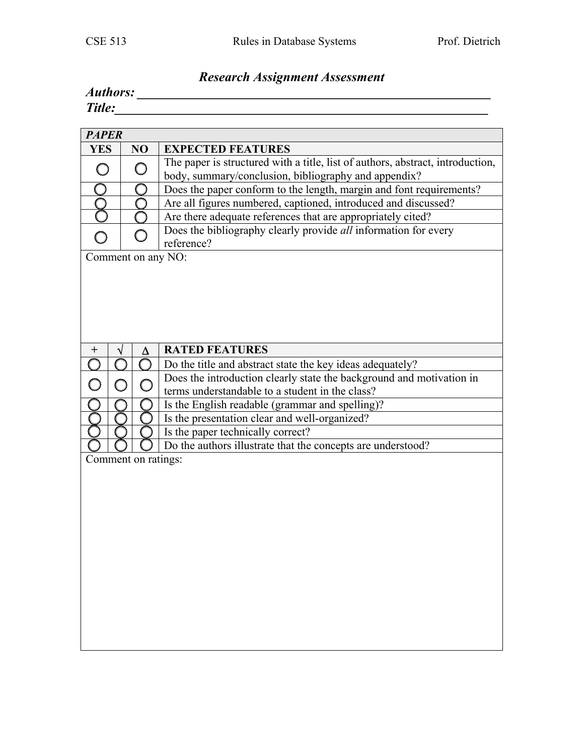## *Research Assignment Assessment*

| Authors: |  |
|----------|--|
| Title:   |  |

| <b>PAPER</b>        |  |    |                                                                                                                                        |  |  |  |  |
|---------------------|--|----|----------------------------------------------------------------------------------------------------------------------------------------|--|--|--|--|
| <b>YES</b>          |  | NO | <b>EXPECTED FEATURES</b>                                                                                                               |  |  |  |  |
| $\bigcap$           |  |    | The paper is structured with a title, list of authors, abstract, introduction,<br>body, summary/conclusion, bibliography and appendix? |  |  |  |  |
|                     |  |    | Does the paper conform to the length, margin and font requirements?                                                                    |  |  |  |  |
|                     |  |    | Are all figures numbered, captioned, introduced and discussed?                                                                         |  |  |  |  |
|                     |  |    | Are there adequate references that are appropriately cited?                                                                            |  |  |  |  |
|                     |  |    | Does the bibliography clearly provide all information for every<br>reference?                                                          |  |  |  |  |
| Comment on any NO:  |  |    |                                                                                                                                        |  |  |  |  |
|                     |  |    |                                                                                                                                        |  |  |  |  |
| $\pm$               |  | Δ  | <b>RATED FEATURES</b>                                                                                                                  |  |  |  |  |
|                     |  |    | Do the title and abstract state the key ideas adequately?                                                                              |  |  |  |  |
|                     |  |    | Does the introduction clearly state the background and motivation in                                                                   |  |  |  |  |
|                     |  |    | terms understandable to a student in the class?                                                                                        |  |  |  |  |
|                     |  |    | Is the English readable (grammar and spelling)?                                                                                        |  |  |  |  |
|                     |  |    | Is the presentation clear and well-organized?                                                                                          |  |  |  |  |
|                     |  |    | Is the paper technically correct?                                                                                                      |  |  |  |  |
|                     |  |    | Do the authors illustrate that the concepts are understood?                                                                            |  |  |  |  |
| Comment on ratings: |  |    |                                                                                                                                        |  |  |  |  |
|                     |  |    |                                                                                                                                        |  |  |  |  |